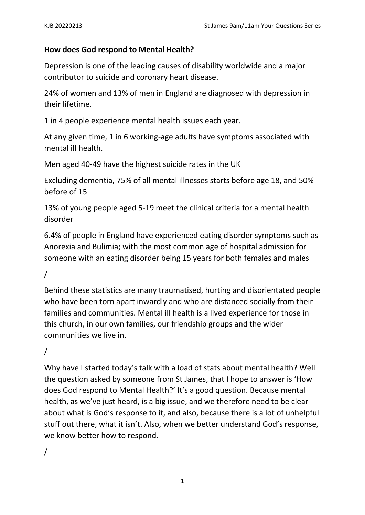## **How does God respond to Mental Health?**

Depression is one of the leading causes of disability worldwide and a major contributor to suicide and coronary heart disease.

24% of women and 13% of men in England are diagnosed with depression in their lifetime.

1 in 4 people experience mental health issues each year.

At any given time, 1 in 6 working-age adults have symptoms associated with mental ill health.

Men aged 40-49 have the highest suicide rates in the UK

Excluding dementia, 75% of all mental illnesses starts before age 18, and 50% before of 15

13% of young people aged 5-19 meet the clinical criteria for a mental health disorder

6.4% of people in England have experienced eating disorder symptoms such as Anorexia and Bulimia; with the most common age of hospital admission for someone with an eating disorder being 15 years for both females and males

/

Behind these statistics are many traumatised, hurting and disorientated people who have been torn apart inwardly and who are distanced socially from their families and communities. Mental ill health is a lived experience for those in this church, in our own families, our friendship groups and the wider communities we live in.

# /

Why have I started today's talk with a load of stats about mental health? Well the question asked by someone from St James, that I hope to answer is 'How does God respond to Mental Health?' It's a good question. Because mental health, as we've just heard, is a big issue, and we therefore need to be clear about what is God's response to it, and also, because there is a lot of unhelpful stuff out there, what it isn't. Also, when we better understand God's response, we know better how to respond.

/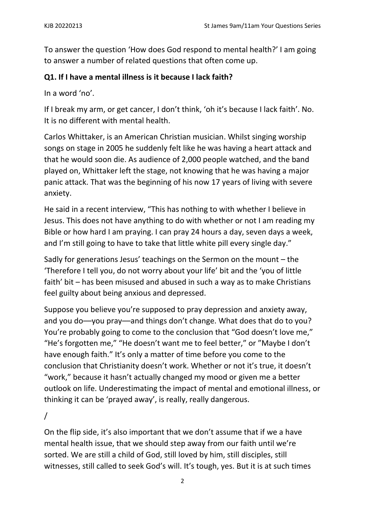To answer the question 'How does God respond to mental health?' I am going to answer a number of related questions that often come up.

### **Q1. If I have a mental illness is it because I lack faith?**

In a word 'no'.

If I break my arm, or get cancer, I don't think, 'oh it's because I lack faith'. No. It is no different with mental health.

Carlos Whittaker, is an American Christian musician. Whilst singing worship songs on stage in 2005 he suddenly felt like he was having a heart attack and that he would soon die. As audience of 2,000 people watched, and the band played on, Whittaker left the stage, not knowing that he was having a major panic attack. That was the beginning of his now 17 years of living with severe anxiety.

He said in a recent interview, "This has nothing to with whether I believe in Jesus. This does not have anything to do with whether or not I am reading my Bible or how hard I am praying. I can pray 24 hours a day, seven days a week, and I'm still going to have to take that little white pill every single day."

Sadly for generations Jesus' teachings on the Sermon on the mount – the 'Therefore I tell you, do not worry about your life' bit and the 'you of little faith' bit – has been misused and abused in such a way as to make Christians feel guilty about being anxious and depressed.

Suppose you believe you're supposed to pray depression and anxiety away, and you do––you pray––and things don't change. What does that do to you? You're probably going to come to the conclusion that "God doesn't love me," "He's forgotten me," "He doesn't want me to feel better," or "Maybe I don't have enough faith." It's only a matter of time before you come to the conclusion that Christianity doesn't work. Whether or not it's true, it doesn't "work," because it hasn't actually changed my mood or given me a better outlook on life. Underestimating the impact of mental and emotional illness, or thinking it can be 'prayed away', is really, really dangerous.

/

On the flip side, it's also important that we don't assume that if we a have mental health issue, that we should step away from our faith until we're sorted. We are still a child of God, still loved by him, still disciples, still witnesses, still called to seek God's will. It's tough, yes. But it is at such times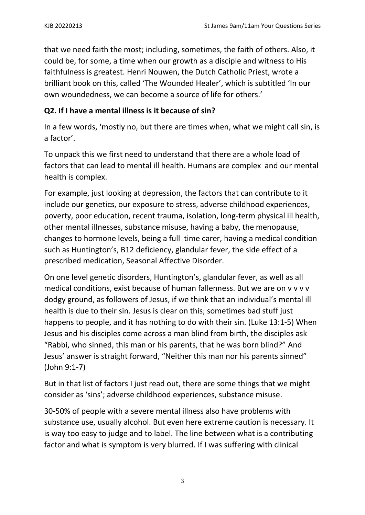that we need faith the most; including, sometimes, the faith of others. Also, it could be, for some, a time when our growth as a disciple and witness to His faithfulness is greatest. Henri Nouwen, the Dutch Catholic Priest, wrote a brilliant book on this, called 'The Wounded Healer', which is subtitled 'In our own woundedness, we can become a source of life for others.'

## **Q2. If I have a mental illness is it because of sin?**

In a few words, 'mostly no, but there are times when, what we might call sin, is a factor'.

To unpack this we first need to understand that there are a whole load of factors that can lead to mental ill health. Humans are complex and our mental health is complex.

For example, just looking at depression, the factors that can contribute to it include our genetics, our exposure to stress, adverse childhood experiences, poverty, poor education, recent trauma, isolation, long-term physical ill health, other mental illnesses, substance misuse, having a baby, the menopause, changes to hormone levels, being a full time carer, having a medical condition such as Huntington's, B12 deficiency, glandular fever, the side effect of a prescribed medication, Seasonal Affective Disorder.

On one level genetic disorders, Huntington's, glandular fever, as well as all medical conditions, exist because of human fallenness. But we are on v v v v dodgy ground, as followers of Jesus, if we think that an individual's mental ill health is due to their sin. Jesus is clear on this; sometimes bad stuff just happens to people, and it has nothing to do with their sin. (Luke 13:1-5) When Jesus and his disciples come across a man blind from birth, the disciples ask "Rabbi, who sinned, this man or his parents, that he was born blind?" And Jesus' answer is straight forward, "Neither this man nor his parents sinned" (John 9:1-7)

But in that list of factors I just read out, there are some things that we might consider as 'sins'; adverse childhood experiences, substance misuse.

30-50% of people with a severe mental illness also have problems with substance use, usually alcohol. But even here extreme caution is necessary. It is way too easy to judge and to label. The line between what is a contributing factor and what is symptom is very blurred. If I was suffering with clinical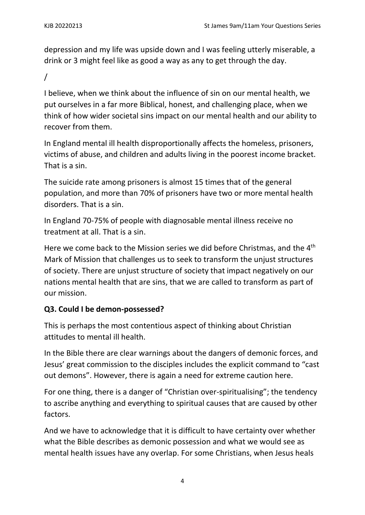depression and my life was upside down and I was feeling utterly miserable, a drink or 3 might feel like as good a way as any to get through the day.

/

I believe, when we think about the influence of sin on our mental health, we put ourselves in a far more Biblical, honest, and challenging place, when we think of how wider societal sins impact on our mental health and our ability to recover from them.

In England mental ill health disproportionally affects the homeless, prisoners, victims of abuse, and children and adults living in the poorest income bracket. That is a sin.

The suicide rate among prisoners is almost 15 times that of the general population, and more than 70% of prisoners have two or more mental health disorders. That is a sin.

In England 70-75% of people with diagnosable mental illness receive no treatment at all. That is a sin.

Here we come back to the Mission series we did before Christmas, and the 4<sup>th</sup> Mark of Mission that challenges us to seek to transform the unjust structures of society. There are unjust structure of society that impact negatively on our nations mental health that are sins, that we are called to transform as part of our mission.

# **Q3. Could I be demon-possessed?**

This is perhaps the most contentious aspect of thinking about Christian attitudes to mental ill health.

In the Bible there are clear warnings about the dangers of demonic forces, and Jesus' great commission to the disciples includes the explicit command to "cast out demons". However, there is again a need for extreme caution here.

For one thing, there is a danger of "Christian over-spiritualising"; the tendency to ascribe anything and everything to spiritual causes that are caused by other factors.

And we have to acknowledge that it is difficult to have certainty over whether what the Bible describes as demonic possession and what we would see as mental health issues have any overlap. For some Christians, when Jesus heals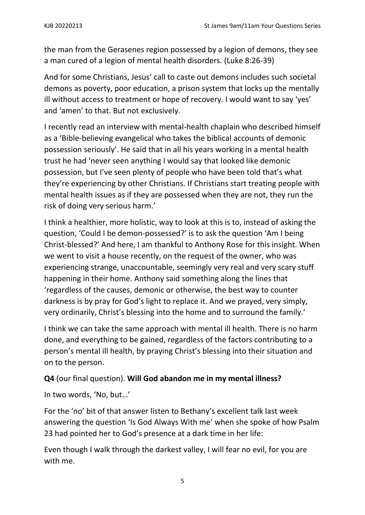the man from the Gerasenes region possessed by a legion of demons, they see a man cured of a legion of mental health disorders. (Luke 8:26-39)

And for some Christians, Jesus' call to caste out demons includes such societal demons as poverty, poor education, a prison system that locks up the mentally ill without access to treatment or hope of recovery. I would want to say 'yes' and 'amen' to that. But not exclusively.

I recently read an interview with mental-health chaplain who described himself as a 'Bible-believing evangelical who takes the biblical accounts of demonic possession seriously'. He said that in all his years working in a mental health trust he had 'never seen anything I would say that looked like demonic possession, but I've seen plenty of people who have been told that's what they're experiencing by other Christians. If Christians start treating people with mental health issues as if they are possessed when they are not, they run the risk of doing very serious harm.'

I think a healthier, more holistic, way to look at this is to, instead of asking the question, 'Could I be demon-possessed?' is to ask the question 'Am I being Christ-blessed?' And here, I am thankful to Anthony Rose for this insight. When we went to visit a house recently, on the request of the owner, who was experiencing strange, unaccountable, seemingly very real and very scary stuff happening in their home. Anthony said something along the lines that 'regardless of the causes, demonic or otherwise, the best way to counter darkness is by pray for God's light to replace it. And we prayed, very simply, very ordinarily, Christ's blessing into the home and to surround the family.'

I think we can take the same approach with mental ill health. There is no harm done, and everything to be gained, regardless of the factors contributing to a person's mental ill health, by praying Christ's blessing into their situation and on to the person.

# **Q4** (our final question). **Will God abandon me in my mental illness?**

In two words, 'No, but…'

For the 'no' bit of that answer listen to Bethany's excellent talk last week answering the question 'Is God Always With me' when she spoke of how Psalm 23 had pointed her to God's presence at a dark time in her life:

Even though I walk through the darkest valley, I will fear no evil, for you are with me.